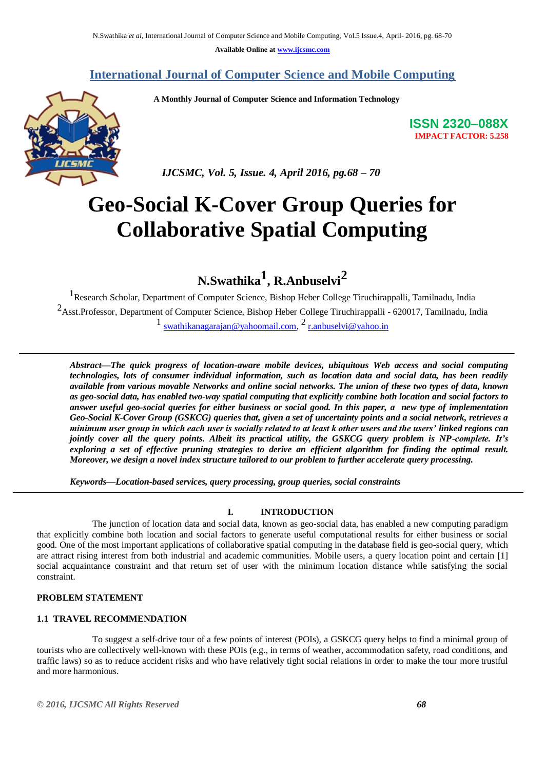**Available Online at [www.ijcsmc.com](http://www.ijcsmc.com/)**

# **International Journal of Computer Science and Mobile Computing**

 **A Monthly Journal of Computer Science and Information Technology**



**ISSN 2320–088X IMPACT FACTOR: 5.258**

 *IJCSMC, Vol. 5, Issue. 4, April 2016, pg.68 – 70*

# **Geo-Social K-Cover Group Queries for Collaborative Spatial Computing**

**N.Swathika 1 , R.Anbuselvi<sup>2</sup>**

<sup>1</sup>Research Scholar, Department of Computer Science, Bishop Heber College Tiruchirappalli, Tamilnadu, India 2Asst.Professor, Department of Computer Science, Bishop Heber College Tiruchirappalli - 620017, Tamilnadu, India 1 [swathikanagarajan@yahoomail.com,](mailto:swathikanagarajan@yahoomail.com) [2](mailto:2) [r.anbuselvi@yahoo.in](mailto:r.anbuselvi@yahoo.in)

*Abstract—The quick progress of location-aware mobile devices, ubiquitous Web access and social computing technologies, lots of consumer individual information, such as location data and social data, has been readily available from various movable Networks and online social networks. The union of these two types of data, known as geo-social data, has enabled two-way spatial computing that explicitly combine both location and social factors to answer useful geo-social queries for either business or social good. In this paper, a new type of implementation Geo-Social K-Cover Group (GSKCG) queries that, given a set of uncertainty points and a social network, retrieves a minimum user group in which each user is socially related to at least k other users and the users' linked regions can jointly cover all the query points. Albeit its practical utility, the GSKCG query problem is NP-complete. It's exploring a set of effective pruning strategies to derive an efficient algorithm for finding the optimal result. Moreover, we design a novel index structure tailored to our problem to further accelerate query processing.*

*Keywords—Location-based services, query processing, group queries, social constraints*

# **I. INTRODUCTION**

The junction of location data and social data, known as geo-social data, has enabled a new computing paradigm that explicitly combine both location and social factors to generate useful computational results for either business or social good. One of the most important applications of collaborative spatial computing in the database field is geo-social query, which are attract rising interest from both industrial and academic communities. Mobile users, a query location point and certain [1] social acquaintance constraint and that return set of user with the minimum location distance while satisfying the social constraint.

#### **PROBLEM STATEMENT**

# **1.1 TRAVEL RECOMMENDATION**

To suggest a self-drive tour of a few points of interest (POIs), a GSKCG query helps to find a minimal group of tourists who are collectively well-known with these POIs (e.g., in terms of weather, accommodation safety, road conditions, and traffic laws) so as to reduce accident risks and who have relatively tight social relations in order to make the tour more trustful and more harmonious.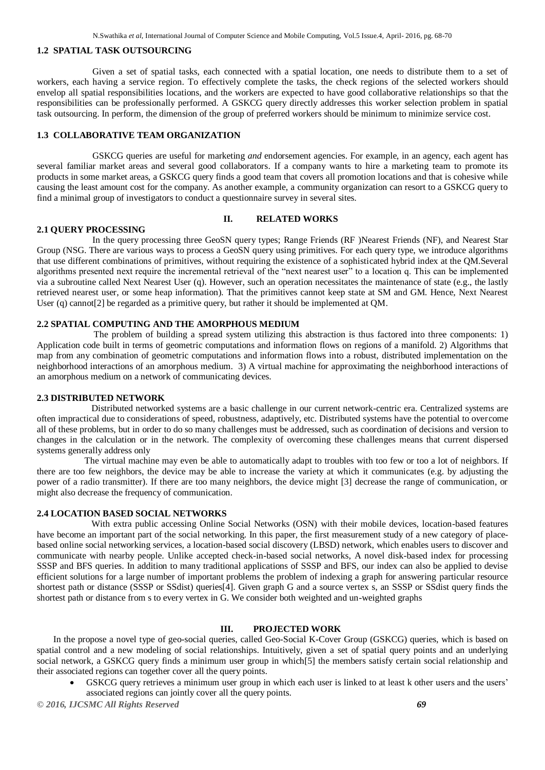### **1.2 SPATIAL TASK OUTSOURCING**

Given a set of spatial tasks, each connected with a spatial location, one needs to distribute them to a set of workers, each having a service region. To effectively complete the tasks, the check regions of the selected workers should envelop all spatial responsibilities locations, and the workers are expected to have good collaborative relationships so that the responsibilities can be professionally performed. A GSKCG query directly addresses this worker selection problem in spatial task outsourcing. In perform, the dimension of the group of preferred workers should be minimum to minimize service cost.

# **1.3 COLLABORATIVE TEAM ORGANIZATION**

GSKCG queries are useful for marketing *and* endorsement agencies. For example, in an agency, each agent has several familiar market areas and several good collaborators. If a company wants to hire a marketing team to promote its products in some market areas, a GSKCG query finds a good team that covers all promotion locations and that is cohesive while causing the least amount cost for the company. As another example, a community organization can resort to a GSKCG query to find a minimal group of investigators to conduct a questionnaire survey in several sites.

#### **II. RELATED WORKS**

### **2.1 QUERY PROCESSING**

 In the query processing three GeoSN query types; Range Friends (RF )Nearest Friends (NF), and Nearest Star Group (NSG. There are various ways to process a GeoSN query using primitives. For each query type, we introduce algorithms that use different combinations of primitives, without requiring the existence of a sophisticated hybrid index at the QM.Several algorithms presented next require the incremental retrieval of the "next nearest user" to a location q. This can be implemented via a subroutine called Next Nearest User (q). However, such an operation necessitates the maintenance of state (e.g., the lastly retrieved nearest user, or some heap information). That the primitives cannot keep state at SM and GM. Hence, Next Nearest User (q) cannot<sup>[2]</sup> be regarded as a primitive query, but rather it should be implemented at QM.

#### **2.2 SPATIAL COMPUTING AND THE AMORPHOUS MEDIUM**

 The problem of building a spread system utilizing this abstraction is thus factored into three components: 1) Application code built in terms of geometric computations and information flows on regions of a manifold. 2) Algorithms that map from any combination of geometric computations and information flows into a robust, distributed implementation on the neighborhood interactions of an amorphous medium. 3) A virtual machine for approximating the neighborhood interactions of an amorphous medium on a network of communicating devices.

#### **2.3 DISTRIBUTED NETWORK**

 Distributed networked systems are a basic challenge in our current network-centric era. Centralized systems are often impractical due to considerations of speed, robustness, adaptively, etc. Distributed systems have the potential to overcome all of these problems, but in order to do so many challenges must be addressed, such as coordination of decisions and version to changes in the calculation or in the network. The complexity of overcoming these challenges means that current dispersed systems generally address only

 The virtual machine may even be able to automatically adapt to troubles with too few or too a lot of neighbors. If there are too few neighbors, the device may be able to increase the variety at which it communicates (e.g. by adjusting the power of a radio transmitter). If there are too many neighbors, the device might [3] decrease the range of communication, or might also decrease the frequency of communication.

#### **2.4 LOCATION BASED SOCIAL NETWORKS**

 With extra public accessing Online Social Networks (OSN) with their mobile devices, location-based features have become an important part of the social networking. In this paper, the first measurement study of a new category of placebased online social networking services, a location-based social discovery (LBSD) network, which enables users to discover and communicate with nearby people. Unlike accepted check-in-based social networks, A novel disk-based index for processing SSSP and BFS queries. In addition to many traditional applications of SSSP and BFS, our index can also be applied to devise efficient solutions for a large number of important problems the problem of indexing a graph for answering particular resource shortest path or distance (SSSP or SSdist) queries[4]. Given graph G and a source vertex s, an SSSP or SSdist query finds the shortest path or distance from s to every vertex in G. We consider both weighted and un-weighted graphs

# **III. PROJECTED WORK**

In the propose a novel type of geo-social queries, called Geo-Social K-Cover Group (GSKCG) queries, which is based on spatial control and a new modeling of social relationships. Intuitively, given a set of spatial query points and an underlying social network, a GSKCG query finds a minimum user group in which[5] the members satisfy certain social relationship and their associated regions can together cover all the query points.

 GSKCG query retrieves a minimum user group in which each user is linked to at least k other users and the users' associated regions can jointly cover all the query points.